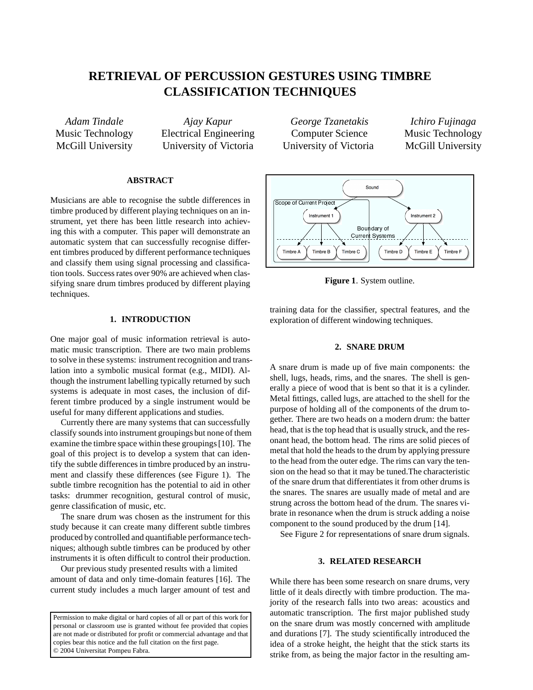# **RETRIEVAL OF PERCUSSION GESTURES USING TIMBRE CLASSIFICATION TECHNIQUES**

*Adam Tindale* Music Technology McGill University

*Ajay Kapur* Electrical Engineering University of Victoria

## **ABSTRACT**

Musicians are able to recognise the subtle differences in timbre produced by different playing techniques on an instrument, yet there has been little research into achieving this with a computer. This paper will demonstrate an automatic system that can successfully recognise different timbres produced by different performance techniques and classify them using signal processing and classification tools. Success rates over 90% are achieved when classifying snare drum timbres produced by different playing techniques.

#### **1. INTRODUCTION**

One major goal of music information retrieval is automatic music transcription. There are two main problems to solve in these systems: instrument recognition and translation into a symbolic musical format (e.g., MIDI). Although the instrument labelling typically returned by such systems is adequate in most cases, the inclusion of different timbre produced by a single instrument would be useful for many different applications and studies.

Currently there are many systems that can successfully classify sounds into instrument groupings but none of them examine the timbre space within these groupings [10]. The goal of this project is to develop a system that can identify the subtle differences in timbre produced by an instrument and classify these differences (see Figure 1). The subtle timbre recognition has the potential to aid in other tasks: drummer recognition, gestural control of music, genre classification of music, etc.

The snare drum was chosen as the instrument for this study because it can create many different subtle timbres produced by controlled and quantifiable performance techniques; although subtle timbres can be produced by other instruments it is often difficult to control their production.

Our previous study presented results with a limited amount of data and only time-domain features [16]. The current study includes a much larger amount of test and

Permission to make digital or hard copies of all or part of this work for personal or classroom use is granted without fee provided that copies are not made or distributed for profit or commercial advantage and that copies bear this notice and the full citation on the first page. © 2004 Universitat Pompeu Fabra.

*George Tzanetakis* Computer Science University of Victoria

*Ichiro Fujinaga* Music Technology McGill University



**Figure 1**. System outline.

training data for the classifier, spectral features, and the exploration of different windowing techniques.

## **2. SNARE DRUM**

A snare drum is made up of five main components: the shell, lugs, heads, rims, and the snares. The shell is generally a piece of wood that is bent so that it is a cylinder. Metal fittings, called lugs, are attached to the shell for the purpose of holding all of the components of the drum together. There are two heads on a modern drum: the batter head, that is the top head that is usually struck, and the resonant head, the bottom head. The rims are solid pieces of metal that hold the heads to the drum by applying pressure to the head from the outer edge. The rims can vary the tension on the head so that it may be tuned.The characteristic of the snare drum that differentiates it from other drums is the snares. The snares are usually made of metal and are strung across the bottom head of the drum. The snares vibrate in resonance when the drum is struck adding a noise component to the sound produced by the drum [14].

See Figure 2 for representations of snare drum signals.

## **3. RELATED RESEARCH**

While there has been some research on snare drums, very little of it deals directly with timbre production. The majority of the research falls into two areas: acoustics and automatic transcription. The first major published study on the snare drum was mostly concerned with amplitude and durations [7]. The study scientifically introduced the idea of a stroke height, the height that the stick starts its strike from, as being the major factor in the resulting am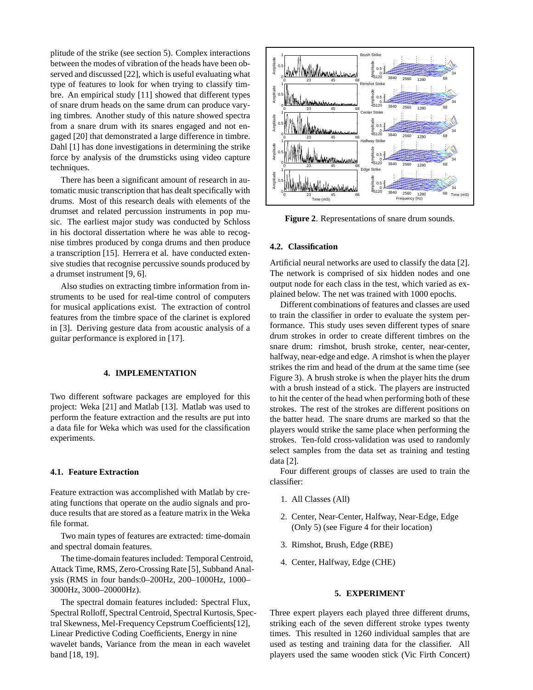plitude of the strike (see section 5). Complex interactions between the modes of vibration of the heads have been observed and discussed [22], which is useful evaluating what type of features to look for when trying to classify timbre. An empirical study [11] showed that different types of snare drum heads on the same drum can produce varying timbres. Another study of this nature showed spectra from a snare drum with its snares engaged and not engaged [20] that demonstrated a large difference in timbre. Dahl [1] has done investigations in determining the strike force by analysis of the drumsticks using video capture techniques.

There has been a significant amount of research in automatic music transcription that has dealt specifically with drums. Most of this research deals with elements of the drumset and related percussion instruments in pop music. The earliest major study was conducted by Schloss in his doctoral dissertation where he was able to recognise timbres produced by conga drums and then produce a transcription [15]. Herrera et al. have conducted extensive studies that recognise percussive sounds produced by a drumset instrument [9, 6].

Also studies on extracting timbre information from instruments to be used for real-time control of computers for musical applications exist. The extraction of control features from the timbre space of the clarinet is explored in [3]. Deriving gesture data from acoustic analysis of a guitar performance is explored in [17].

# **4. IMPLEMENTATION**

Two different software packages are employed for this project: Weka [21] and Matlab [13]. Matlab was used to perform the feature extraction and the results are put into a data file for Weka which was used for the classification experiments.

## **4.1. Feature Extraction**

Feature extraction was accomplished with Matlab by creating functions that operate on the audio signals and produce results that are stored as a feature matrix in the Weka file format.

Two main types of features are extracted: time-domain and spectral domain features.

The time-domain features included: Temporal Centroid, Attack Time, RMS, Zero-Crossing Rate [5], Subband Analysis (RMS in four bands:0–200Hz, 200–1000Hz, 1000– 3000Hz, 3000–20000Hz).

The spectral domain features included: Spectral Flux, Spectral Rolloff, Spectral Centroid, Spectral Kurtosis, Spectral Skewness, Mel-Frequency Cepstrum Coefficients[12], Linear Predictive Coding Coefficients, Energy in nine wavelet bands, Variance from the mean in each wavelet band [18, 19].



**Figure 2**. Representations of snare drum sounds.

#### **4.2. Classification**

Artificial neural networks are used to classify the data [2]. The network is comprised of six hidden nodes and one output node for each class in the test, which varied as explained below. The net was trained with 1000 epochs.

Different combinations of features and classes are used to train the classifier in order to evaluate the system performance. This study uses seven different types of snare drum strokes in order to create different timbres on the snare drum: rimshot, brush stroke, center, near-center, halfway, near-edge and edge. A rimshot is when the player strikes the rim and head of the drum at the same time (see Figure 3). A brush stroke is when the player hits the drum with a brush instead of a stick. The players are instructed to hit the center of the head when performing both of these strokes. The rest of the strokes are different positions on the batter head. The snare drums are marked so that the players would strike the same place when performing the strokes. Ten-fold cross-validation was used to randomly select samples from the data set as training and testing data [2].

Four different groups of classes are used to train the classifier:

- 1. All Classes (All)
- 2. Center, Near-Center, Halfway, Near-Edge, Edge (Only 5) (see Figure 4 for their location)
- 3. Rimshot, Brush, Edge (RBE)
- 4. Center, Halfway, Edge (CHE)

## **5. EXPERIMENT**

Three expert players each played three different drums, striking each of the seven different stroke types twenty times. This resulted in 1260 individual samples that are used as testing and training data for the classifier. All players used the same wooden stick (Vic Firth Concert)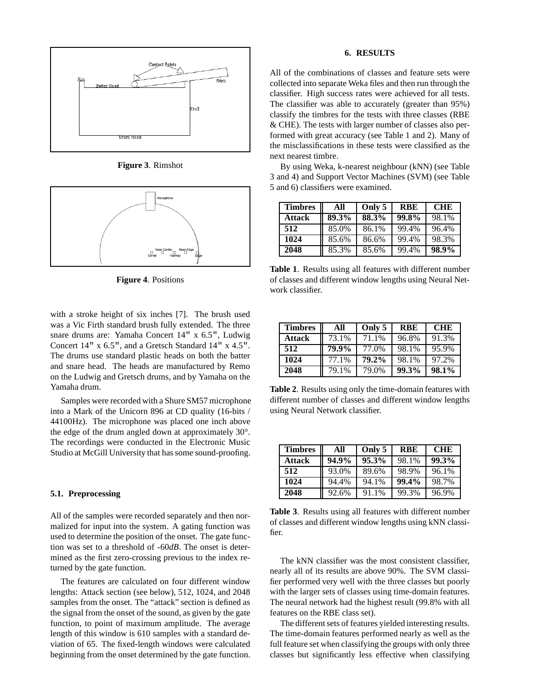

**Figure 3**. Rimshot



**Figure 4**. Positions

with a stroke height of six inches [7]. The brush used was a Vic Firth standard brush fully extended. The three snare drums are: Yamaha Concert 14" x 6.5", Ludwig Concert 14" x 6.5", and a Gretsch Standard 14" x 4.5". The drums use standard plastic heads on both the batter and snare head. The heads are manufactured by Remo on the Ludwig and Gretsch drums, and by Yamaha on the Yamaha drum.

Samples were recorded with a Shure SM57 microphone into a Mark of the Unicorn 896 at CD quality (16-bits / 44100Hz). The microphone was placed one inch above the edge of the drum angled down at approximately 30°. The recordings were conducted in the Electronic Music Studio at McGill University that has some sound-proofing.

#### **5.1. Preprocessing**

All of the samples were recorded separately and then normalized for input into the system. A gating function was used to determine the position of the onset. The gate function was set to a threshold of -60*dB*. The onset is determined as the first zero-crossing previous to the index returned by the gate function.

The features are calculated on four different window lengths: Attack section (see below), 512, 1024, and 2048 samples from the onset. The "attack" section is defined as the signal from the onset of the sound, as given by the gate function, to point of maximum amplitude. The average length of this window is 610 samples with a standard deviation of 65. The fixed-length windows were calculated beginning from the onset determined by the gate function.

## **6. RESULTS**

All of the combinations of classes and feature sets were collected into separate Weka files and then run through the classifier. High success rates were achieved for all tests. The classifier was able to accurately (greater than 95%) classify the timbres for the tests with three classes (RBE & CHE). The tests with larger number of classes also performed with great accuracy (see Table 1 and 2). Many of the misclassifications in these tests were classified as the next nearest timbre.

By using Weka, k-nearest neighbour (kNN) (see Table 3 and 4) and Support Vector Machines (SVM) (see Table 5 and 6) classifiers were examined.

| <b>Timbres</b> | All   | Only 5 | <b>RBE</b> | <b>CHE</b> |
|----------------|-------|--------|------------|------------|
| Attack         | 89.3% | 88.3%  | 99.8%      | 98.1%      |
| 512            | 85.0% | 86.1%  | 99.4%      | 96.4%      |
| 1024           | 85.6% | 86.6%  | 99.4%      | 98.3%      |
| 2048           | 85.3% | 85.6%  | 99.4%      | 98.9%      |

**Table 1**. Results using all features with different number of classes and different window lengths using Neural Network classifier.

| <b>Timbres</b> | All   | Only 5 | <b>RBE</b> | <b>CHE</b> |
|----------------|-------|--------|------------|------------|
| Attack         | 73.1% | 71.1%  | 96.8%      | 91.3%      |
| 512            | 79.9% | 77.0%  | 98.1%      | 95.9%      |
| 1024           | 77.1% | 79.2%  | 98.1%      | 97.2%      |
| 2048           | 79.1% | 79.0%  | 99.3%      | 98.1%      |

**Table 2**. Results using only the time-domain features with different number of classes and different window lengths using Neural Network classifier.

| <b>Timbres</b> | All   | Only 5 | <b>RBE</b> | <b>CHE</b> |
|----------------|-------|--------|------------|------------|
| <b>Attack</b>  | 94.9% | 95.3%  | 98.1%      | 99.3%      |
| 512            | 93.0% | 89.6%  | 98.9%      | 96.1%      |
| 1024           | 94.4% | 94.1%  | 99.4%      | 98.7%      |
| 2048           | 92.6% | 91.1%  | 99.3%      | 96.9%      |

**Table 3**. Results using all features with different number of classes and different window lengths using kNN classifier.

The kNN classifier was the most consistent classifier, nearly all of its results are above 90%. The SVM classifier performed very well with the three classes but poorly with the larger sets of classes using time-domain features. The neural network had the highest result (99.8% with all features on the RBE class set).

The different sets of features yielded interesting results. The time-domain features performed nearly as well as the full feature set when classifying the groups with only three classes but significantly less effective when classifying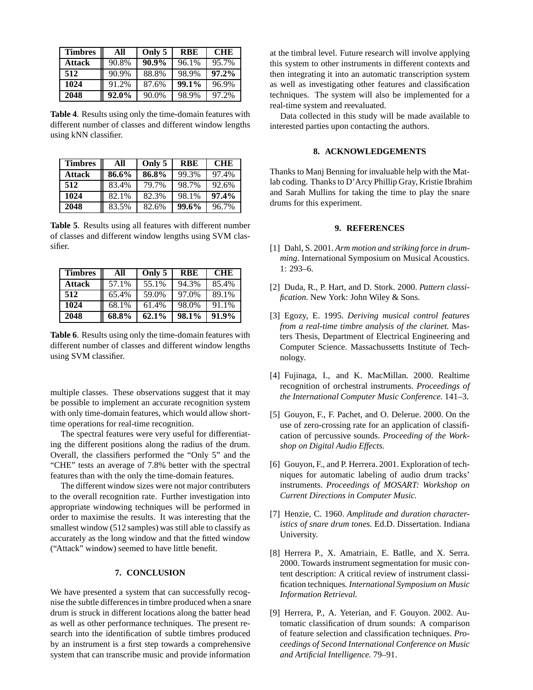| <b>Timbres</b> | All      | Only 5 | <b>RBE</b> | <b>CHE</b> |
|----------------|----------|--------|------------|------------|
| Attack         | 90.8%    | 90.9%  | 96.1%      | 95.7%      |
| 512            | 90.9%    | 88.8%  | 98.9%      | $97.2\%$   |
| 1024           | 91.2%    | 87.6%  | 99.1%      | 96.9%      |
| 2048           | $92.0\%$ | 90.0%  | 98.9%      | 97.2%      |

**Table 4**. Results using only the time-domain features with different number of classes and different window lengths using kNN classifier.

| <b>Timbres</b> | All   | Only 5 | <b>RBE</b> | <b>CHE</b> |
|----------------|-------|--------|------------|------------|
| <b>Attack</b>  | 86.6% | 86.8%  | 99.3%      | 97.4%      |
| 512            | 83.4% | 79.7%  | 98.7%      | 92.6%      |
| 1024           | 82.1% | 82.3%  | 98.1%      | 97.4%      |
| 2048           | 83.5% | 82.6%  | 99.6%      | 96.7%      |

**Table 5**. Results using all features with different number of classes and different window lengths using SVM classifier.

| <b>Timbres</b> | All   | Only 5   | <b>RBE</b> | <b>CHE</b> |
|----------------|-------|----------|------------|------------|
| Attack         | 57.1% | 55.1%    | 94.3%      | 85.4%      |
| 512            | 65.4% | 59.0%    | 97.0%      | 89.1%      |
| 1024           | 68.1% | 61.4%    | 98.0%      | 91.1%      |
| 2048           | 68.8% | $62.1\%$ | 98.1%      | 91.9%      |

**Table 6**. Results using only the time-domain features with different number of classes and different window lengths using SVM classifier.

multiple classes. These observations suggest that it may be possible to implement an accurate recognition system with only time-domain features, which would allow shorttime operations for real-time recognition.

The spectral features were very useful for differentiating the different positions along the radius of the drum. Overall, the classifiers performed the "Only 5" and the "CHE" tests an average of 7.8% better with the spectral features than with the only the time-domain features.

The different window sizes were not major contributers to the overall recognition rate. Further investigation into appropriate windowing techniques will be performed in order to maximise the results. It was interesting that the smallest window (512 samples) was still able to classify as accurately as the long window and that the fitted window ("Attack" window) seemed to have little benefit.

## **7. CONCLUSION**

We have presented a system that can successfully recognise the subtle differences in timbre produced when a snare drum is struck in different locations along the batter head as well as other performance techniques. The present research into the identification of subtle timbres produced by an instrument is a first step towards a comprehensive system that can transcribe music and provide information

at the timbral level. Future research will involve applying this system to other instruments in different contexts and then integrating it into an automatic transcription system as well as investigating other features and classification techniques. The system will also be implemented for a real-time system and reevaluated.

Data collected in this study will be made available to interested parties upon contacting the authors.

## **8. ACKNOWLEDGEMENTS**

Thanks to Manj Benning for invaluable help with the Matlab coding. Thanks to D'Arcy Phillip Gray, Kristie Ibrahim and Sarah Mullins for taking the time to play the snare drums for this experiment.

#### **9. REFERENCES**

- [1] Dahl, S. 2001. *Arm motion and striking force in drumming.* International Symposium on Musical Acoustics. 1: 293–6.
- [2] Duda, R., P. Hart, and D. Stork. 2000. *Pattern classification.* New York: John Wiley & Sons.
- [3] Egozy, E. 1995. *Deriving musical control features from a real-time timbre analysis of the clarinet.* Masters Thesis, Department of Electrical Engineering and Computer Science. Massachussetts Institute of Technology.
- [4] Fujinaga, I., and K. MacMillan. 2000. Realtime recognition of orchestral instruments. *Proceedings of the International Computer Music Conference.* 141–3.
- [5] Gouyon, F., F. Pachet, and O. Delerue. 2000. On the use of zero-crossing rate for an application of classification of percussive sounds. *Proceeding of the Workshop on Digital Audio Effects.*
- [6] Gouyon, F., and P. Herrera. 2001. Exploration of techniques for automatic labeling of audio drum tracks' instruments. *Proceedings of MOSART: Workshop on Current Directions in Computer Music.*
- [7] Henzie, C. 1960. *Amplitude and duration characteristics of snare drum tones.* Ed.D. Dissertation. Indiana University.
- [8] Herrera P., X. Amatriain, E. Batlle, and X. Serra. 2000. Towards instrument segmentation for music content description: A critical review of instrument classification techniques. *International Symposium on Music Information Retrieval.*
- [9] Herrera, P., A. Yeterian, and F. Gouyon. 2002. Automatic classification of drum sounds: A comparison of feature selection and classification techniques. *Proceedings of Second International Conference on Music and Artificial Intelligence.* 79–91.